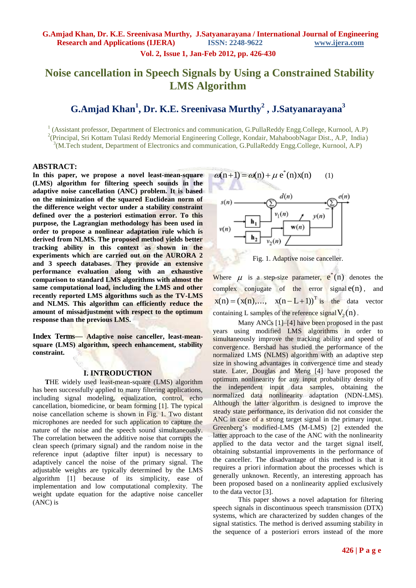**Vol. 2, Issue 1, Jan-Feb 2012, pp. 426-430**

# **Noise cancellation in Speech Signals by Using a Constrained Stability LMS Algorithm**

# **G.Amjad Khan<sup>1</sup> , Dr. K.E. Sreenivasa Murthy<sup>2</sup> , J.Satyanarayana<sup>3</sup>**

<sup>1</sup> (Assistant professor, Department of Electronics and communication, G.PullaReddy Engg.College, Kurnool, A.P) <sup>2</sup>(Principal, Sri Kottam Tulasi Reddy Memorial Engineering College, Kondair, MahaboobNagar Dist., A.P, India) <sup>3</sup>(M.Tech student, Department of Electronics and communication, G.PullaReddy Engg.College, Kurnool, A.P)

#### **ABSTRACT:**

**In this paper, we propose a novel least-mean-square (LMS) algorithm for filtering speech sounds in the adaptive noise cancellation (ANC) problem. It is based on the minimization of the squared Euclidean norm of the difference weight vector under a stability constraint defined over the a posteriori estimation error. To this purpose, the Lagrangian methodology has been used in order to propose a nonlinear adaptation rule which is derived from NLMS. The proposed method yields better tracking ability in this context as shown in the experiments which are carried out on the AURORA 2 and 3 speech databases. They provide an extensive performance evaluation along with an exhaustive comparison to standard LMS algorithms with almost the same computational load, including the LMS and other recently reported LMS algorithms such as the TV-LMS and NLMS. This algorithm can efficiently reduce the amount of missadjustment with respect to the optimum response than the previous LMS.**

**Index Terms***—* **Adaptive noise canceller, least-meansquare (LMS) algorithm, speech enhancement, stability constraint.** 

### **I. INTRODUCTION**

 **T**HE widely used least-mean-square (LMS) algorithm has been successfully applied to many filtering applications, including signal modeling, equalization, control, echo cancellation, biomedicine, or beam forming [1]. The typical noise cancellation scheme is shown in Fig. 1. Two distant microphones are needed for such application to capture the nature of the noise and the speech sound simultaneously. The correlation between the additive noise that corrupts the clean speech (primary signal) and the random noise in the reference input (adaptive filter input) is necessary to adaptively cancel the noise of the primary signal. The adjustable weights are typically determined by the LMS algorithm [1] because of its simplicity, ease of implementation and low computational complexity. The weight update equation for the adaptive noise canceller (ANC) is



Fig. 1. Adaptive noise canceller.

Where  $\mu$  is a step-size parameter,  $e^{i}(n)$  denotes the complex conjugate of the error signal  $e(n)$ , and  $x(n) = (x(n),..., x(n-L+1))^T$  is the data vector containing L samples of the reference signal  $V_2(n)$ .

Many ANCs [1]–[4] have been proposed in the past years using modified LMS algorithms in order to simultaneously improve the tracking ability and speed of convergence. Bershad has studied the performance of the normalized LMS (NLMS) algorithm with an adaptive step size in showing advantages in convergence time and steady state. Later, Douglas and Meng [4] have proposed the optimum nonlinearity for any input probability density of the independent input data samples, obtaining the normalized data nonlinearity adaptation (NDN-LMS). Although the latter algorithm is designed to improve the steady state performance, its derivation did not consider the ANC in case of a strong target signal in the primary input. Greenberg's modified-LMS (M-LMS) [2] extended the latter approach to the case of the ANC with the nonlinearity applied to the data vector and the target signal itself, obtaining substantial improvements in the performance of the canceller. The disadvantage of this method is that it requires a priori information about the processes which is generally unknown. Recently, an interesting approach has been proposed based on a nonlinearity applied exclusively to the data vector [3].

This paper shows a novel adaptation for filtering speech signals in discontinuous speech transmission (DTX) systems, which are characterized by sudden changes of the signal statistics. The method is derived assuming stability in the sequence of a posteriori errors instead of the more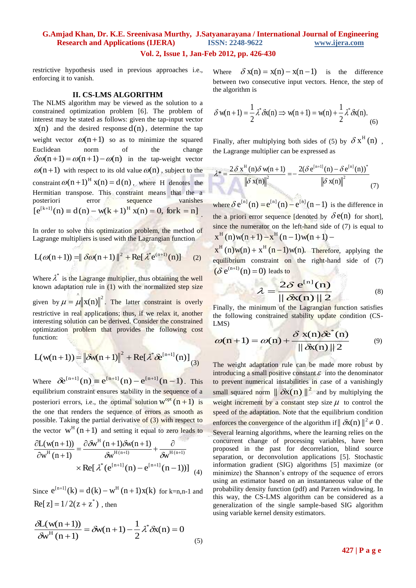### **G.Amjad Khan, Dr. K.E. Sreenivasa Murthy, J.Satyanarayana / International Journal of Engineering Research and Applications (IJERA) ISSN: 2248-9622 www.ijera.com Vol. 2, Issue 1, Jan-Feb 2012, pp. 426-430**

restrictive hypothesis used in previous approaches i.e., enforcing it to vanish.

#### **II. CS-LMS ALGORITHM**

The NLMS algorithm may be viewed as the solution to a constrained optimization problem [6]. The problem of interest may be stated as follows: given the tap-input vector  $x(n)$  and the desired response  $d(n)$ , determine the tap weight vector  $\omega(n + 1)$  so as to minimize the squared Euclidean norm of the change  $\delta \omega(n+1) = \omega(n+1) - \omega(n)$  in the tap-weight vector  $\omega(n+1)$  with respect to its old value  $\omega(n)$ , subject to the constraint  $\omega(n+1)^{H} x(n) = d(n)$ , where H denotes the Hermitian transpose. This constraint means that the a posteriori error sequence vanishes  $[e^{[k+1]}(n) \equiv d(n) - w(k+1)^{H} x(n) = 0$ , fork = n] .

In order to solve this optimization problem, the method of Lagrange multipliers is used with the Lagrangian function

$$
L(\omega(n+1)) = \|\delta\omega(n+1)\|^2 + \text{Re}[\lambda^* e^{(n+1)}(n)] \qquad (2)
$$

Where  $\lambda^*$  is the Lagrange multiplier, thus obtaining the well known adaptation rule in  $(1)$  with the normalized step size given by  $\mu = \mathbf{\hat{\mu}} ||\mathbf{x}(\mathbf{n})||^2$ . The latter constraint is overly restrictive in real applications; thus, if we relax it, another interesting solution can be derived. Consider the constrained optimization problem that provides the following cost function:

$$
L(w(n+1)) = \left\|\delta w(n+1)\right\|^2 + \text{Re}[\lambda^* \delta e^{[n+1]}(n)]_{(3)}
$$

Where  $\delta e^{[n+1]}(n) \equiv e^{[n+1]}(n) - e^{[n+1]}(n-1)$ . This equilibrium constraint ensures stability in the sequence of a posteriori errors, i.e., the optimal solution  $w^{opt}(n + 1)$  is the one that renders the sequence of errors as smooth as possible. Taking the partial derivative of (3) with respect to the vector  $w^H(n+1)$  and setting it equal to zero leads to

$$
\frac{\partial L(\mathbf{w}(n+1))}{\partial \mathbf{w}^H(n+1)} = \frac{\partial \delta \mathbf{w}^H(n+1) \delta \mathbf{w}(n+1)}{\delta \mathbf{w}^{H(n+1)}} + \frac{\partial}{\delta \mathbf{w}^{H(n+1)}}
$$

$$
\times \text{Re}[\lambda^*(\mathbf{e}^{[n+1]}(n) - \mathbf{e}^{[n+1]}(n-1))]
$$
(4)

Since  $e^{[n+1]}(k) = d(k) - w^H(n+1)x(k)$  for k=n,n-1 and  $\text{Re}[z] = 1/2(z + z^*)$ , then

$$
\frac{\delta L(w(n+1))}{\delta w^{H}(n+1)} = \delta w(n+1) - \frac{1}{2} \lambda^{*} \delta x(n) = 0
$$
\n(5)

Where  $\delta x(n) = x(n) - x(n-1)$  is the difference between two consecutive input vectors. Hence, the step of the algorithm is

$$
\delta w(n+1) = \frac{1}{2} \lambda^* \delta x(n) \Rightarrow w(n+1) = w(n) + \frac{1}{2} \lambda^* \delta x(n).
$$
\n(6)

Finally, after multiplying both sides of (5) by  $\delta x^{H}(n)$ , the Lagrange multiplier can be expressed as

$$
\lambda^* = \frac{2\delta x^{\mathrm{H}}\left(n\right)\delta w(n+1)}{\left\|\delta x(n)\right\|^2} = -\frac{2(\delta e^{[n+1]}(n) - \delta e^{[n]}(n))^{*}}{\left\|\delta x(n)\right\|^2} \tag{7}
$$

where  $\delta e^{[n]}(n) = e^{[n]}(n) - e^{[n]}(n-1)$  is the difference in the a priori error sequence [denoted by  $\delta e(n)$  for short], since the numerator on the left-hand side of (7) is equal to  $x^H(n)w(n+1) - x^H(n-1)w(n+1) -$ 

 $x^H(n)w(n) + x^H(n-1)w(n)$ . Therefore, applying the equilibrium constraint on the right-hand side of (7)  $(\delta e^{(n+1)}(n) = 0)$  leads to

$$
\lambda = \frac{2\delta e^{[n]}(n)}{|| \delta x(n) || 2}
$$
 (8)

Finally, the minimum of the Lagrangian function satisfies the following constrained stability update condition (CS-LMS)

$$
\omega(n+1) = \omega(n) + \frac{\delta x(n)\delta e^*(n)}{|| \delta x(n) || 2}
$$
(9)

The weight adaptation rule can be made more robust by introducing a small positive constant  $\varepsilon$  into the denominator to prevent numerical instabilities in case of a vanishingly small squared norm  $\|\delta x(n)\|^2$  and by multiplying the weight increment by a constant step size  $\mu$  to control the speed of the adaptation. Note that the equilibrium condition enforces the convergence of the algorithm if  $\|\delta x(n)\|^2 \neq 0$ . Several learning algorithms, where the learning relies on the concurrent change of processing variables, have been proposed in the past for decorrelation, blind source separation, or deconvolution applications [5]. Stochastic information gradient (SIG) algorithms [5] maximize (or minimize) the Shannon's entropy of the sequence of errors using an estimator based on an instantaneous value of the probability density function (pdf) and Parzen windowing. In this way, the CS-LMS algorithm can be considered as a generalization of the single sample-based SIG algorithm using variable kernel density estimators.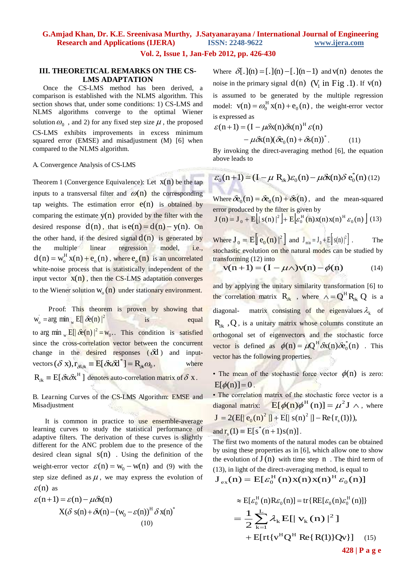# **G.Amjad Khan, Dr. K.E. Sreenivasa Murthy, J.Satyanarayana / International Journal of Engineering Research and Applications (IJERA) ISSN: 2248-9622 www.ijera.com**

#### **Vol. 2, Issue 1, Jan-Feb 2012, pp. 426-430**

### **III. THEORETICAL REMARKS ON THE CS-LMS ADAPTATION**

 Once the CS-LMS method has been derived, a comparison is established with the NLMS algorithm. This section shows that, under some conditions: 1) CS-LMS and NLMS algorithms converge to the optimal Wiener solution  $\omega_0$ , and 2) for any fixed step size  $\mu$ , the proposed CS-LMS exhibits improvements in excess minimum squared error (EMSE) and misadjustment (M) [6] when compared to the NLMS algorithm.

#### A. Convergence Analysis of CS-LMS

Theorem 1 (Convergence Equivalence): Let  $x(n)$  be the tap inputs to a transversal filter and  $\omega(n)$  the corresponding tap weights. The estimation error  $e(n)$  is obtained by comparing the estimate  $y(n)$  provided by the filter with the desired response  $d(n)$ , that is  $e(n) = d(n) - y(n)$ . On the other hand, if the desired signal  $d(n)$  is generated by the multiple linear regression model, i.e.,  $d(n) = w_0^H x(n) + e_0(n)$ , where  $e_0(n)$  is an uncorrelated white-noise process that is statistically independent of the input vector  $x(n)$ , then the CS-LMS adaptation converges to the Wiener solution  $W_0(n)$  under stationary environment.

 Proof: This theorem is proven by showing that  $\mathbf{w}_o = \arg \min_{\mathbf{w}} \mathbf{E} \left[ \left| \hat{\mathbf{\in}}(\mathbf{n}) \right|^2 \right]$  is equal to arg min  $_{\rm w}$  E[ $\delta e(n)$   $|^2 = w_0$ . w  $E[|\delta e(n)|^2 = w_0$ . This condition is satisfied since the cross-correlation vector between the concurrent change in the desired responses  $(\delta d)$  and inputvectors  $(\delta x)$ ,  $r_{\text{max}} \equiv E[\delta x \delta t^*] = R_{\text{max}} \omega_0$ , where  $R_{ik} \equiv E[\delta x \delta x^H]$  denotes auto-correlation matrix of  $\delta x$ .

B. Learning Curves of the CS-LMS Algorithm: EMSE and Misadjustment

It is common in practice to use ensemble-average learning curves to study the statistical performance of adaptive filters. The derivation of these curves is slightly different for the ANC problem due to the presence of the desired clean signal  $s(n)$ . Using the definition of the weight-error vector  $\varepsilon(n) = w_0 - w(n)$  and (9) with the step size defined as  $\mu$ , we may express the evolution of  $\varepsilon$ (n) as

$$
\varepsilon(n+1) = \varepsilon(n) - \mu \delta x(n)
$$
  
 
$$
X(\delta s(n) + \delta v(n) - (w_0 - \varepsilon(n)))^H \delta x(n)^*
$$
  
(10)

Where  $\delta[.]$ (n) = [.](n) - [.](n - 1) and v(n) denotes the noise in the primary signal  $d(n)$  ( $V_1$  in Fig .1). If  $v(n)$ is assumed to be generated by the multiple regression model:  $v(n) = \omega_0^H x(n) + e_0(n)$ , the weight-error vector is expressed as

$$
\varepsilon(n+1) = (I - \mu \delta x(n) \delta x(n)^{H} \varepsilon(n)
$$

$$
- \mu \delta x(n) (\delta e_0(n) + \delta s(n))^*.
$$
(11)

By invoking the direct-averaging method [6], the equation above leads to

$$
\varepsilon_0(\mathbf{n}+1) = (I - \mu \mathbf{R}_{\hat{\alpha}})\varepsilon_0(\mathbf{n}) - \mu \delta \mathbf{x}(\mathbf{n}) \delta \mathbf{e}_0^*(\mathbf{n}) \tag{12}
$$

Where  $\delta e_0(n) = \delta e_0(n) + \delta s(n)$ , and the mean-squared error produced by the filter is given by

$$
\mathbf{J}(n) = \mathbf{J}_0 + \mathbf{E} \left[ \|\mathbf{s}(n)\|^2 \right] + \mathbf{E} \left[ \varepsilon_0^{\mathrm{H}}(n) \mathbf{x}(n) \mathbf{x}(n)^{\mathrm{H}} \varepsilon_0(n) \right] (13)
$$

Where  $J_0 = E \left[ |e_0(n)|^2 \right]$  and  $J_{\min} = J_0 + E \left[ |s(n)|^2 \right]$ . The stochastic evolution on the natural modes can be studied by transforming (12) into

$$
v(n+1) = (I - \mu \wedge) v(n) - \phi(n) \tag{14}
$$

and by applying the unitary similarity transformation [6] to the correlation matrix  $R_{\delta x}$ , where  $\Lambda = Q^H R_{\delta x} Q$  is a diagonal- matrix consisting of the eigenvalues  $\lambda_k$  of  $R_{\delta x}$ , Q, is a unitary matrix whose columns constitute an orthogonal set of eigenvectors and the stochastic force vector is defined as  $\phi(n) = \mu Q^H \delta x(n) \delta e_0^*(n)$ . This vector has the following properties.

• The mean of the stochastic force vector  $\phi(n)$  is zero:  $E[\phi(n)] = 0$ .

• The correlation matrix of the stochastic force vector is a diagonal matrix:  $E[\phi(n)\phi^H(n)] = \mu^2 J \wedge$ , where  $J = 2(E[|e_0(n)^2|] + E[|s(n)^2|] - Re{r_s(1)}),$ 

and 
$$
\mathbf{r}_s(1) \equiv \mathbf{E}[s^*(n+1)s(n)].
$$

The first two moments of the natural modes can be obtained by using these properties as in [6], which allow one to show the evolution of  $J(n)$  with time step n. The third term of (13), in light of the direct-averaging method, is equal to

$$
\mathbf{J}_{\text{ex}}(\mathbf{n}) = \mathbf{E}[\varepsilon_0^{\text{H}}(\mathbf{n})\mathbf{x}(\mathbf{n})\mathbf{x}(\mathbf{n})^{\text{H}}\varepsilon_0(\mathbf{n})]
$$

$$
\approx E[\varepsilon_0^H(n)R\varepsilon_0(n)] = \text{tr}\{RE[\varepsilon_0(n)\varepsilon_0^H(n)]\}
$$
  
= 
$$
\frac{1}{2}\sum_{k=1}^L \lambda_k E[|\mathbf{v}_k(n)|^2]
$$
  
+ 
$$
E[\text{rt}\{v^H Q^H \text{ Re}\{R(1)\}Qv\}]
$$
 (15)  
428 | P a g e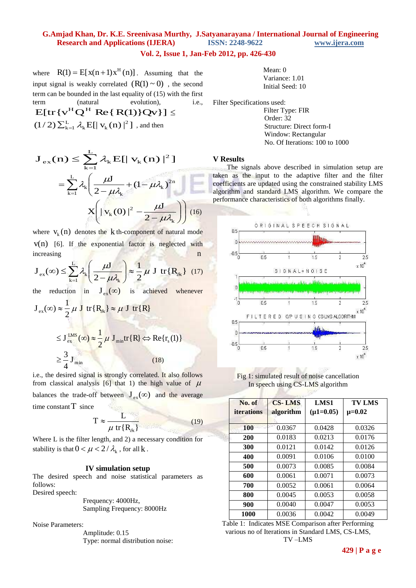## **G.Amjad Khan, Dr. K.E. Sreenivasa Murthy, J.Satyanarayana / International Journal of Engineering Research and Applications (IJERA) ISSN: 2248-9622 www.ijera.com**

## **Vol. 2, Issue 1, Jan-Feb 2012, pp. 426-430**

where  $R(1) = E[x(n+1)x<sup>H</sup>(n)]$ . Assuming that the input signal is weakly correlated  $(R(1) \sim 0)$ , the second term can be bounded in the last equality of (15) with the first term (natural evolution), i.e.,

 $E[tr\{v^H Q^H Re\{R(1)\}Qv\}] \le$  $(1/2)\sum_{k=1}^{L} \lambda_k E[\|\mathbf{v}_k(n)\|^2]$ , and then

$$
\mathbf{J}_{\text{ex}}(\mathbf{n}) \le \sum_{k=1}^{L} \lambda_k \mathbf{E}[\|\mathbf{v}_k(\mathbf{n})\|^2]
$$

$$
= \sum_{k=1}^{L} \lambda_k \left(\frac{\mu \mathbf{J}}{2 - \mu \lambda_k} + (1 - \mu \lambda_k)^{2n}\right)
$$

$$
\mathbf{X} \left(\|\mathbf{v}_k(0)\|^2 - \frac{\mu \mathbf{J}}{2 - \mu \lambda_k}\right) \right) (16)
$$

where  $v_k(n)$  denotes the k th-component of natural mode  $v(n)$  [6]. If the exponential factor is neglected with increasing n

$$
\mathbf{J}_{\text{ex}}(\infty) \le \sum_{k=1}^{L} \lambda_k \left( \frac{\mu \mathbf{J}}{2 - \mu \lambda_k} \right) \approx \frac{1}{2} \mu \mathbf{J} \text{ tr} \{ \mathbf{R}_{\delta k} \} \tag{17}
$$

the reduction in  $J_{ex}(\infty)$  is achieved whenever

$$
J_{ex}(\infty) \approx \frac{1}{2} \mu J \text{ tr} \{R_{\text{ax}}\} \approx \mu J \text{ tr} \{R\}
$$
  

$$
\leq J_{ex}^{\text{LMS}}(\infty) \approx \frac{1}{2} \mu J_{\text{min}} \text{ tr} \{R\} \Leftrightarrow \text{Re} \{r_s(1)\}
$$
  

$$
\geq \frac{3}{4} J_{\text{min}} \tag{18}
$$

i.e., the desired signal is strongly correlated. It also follows from classical analysis [6] that 1) the high value of  $\mu$ balances the trade-off between  $J_{\alpha x}(\infty)$  and the average time constant  $T$  since

$$
T \approx \frac{L}{\mu \text{ tr}\{\mathbf{R}_{\delta x}\}}
$$
(19)

Where L is the filter length, and 2) a necessary condition for stability is that  $0 < \mu < 2/\lambda_k$ , for all k.

#### **IV simulation setup**

The desired speech and noise statistical parameters as follows: Desired speech:

 Frequency: 4000Hz, Sampling Frequency: 8000Hz

Noise Parameters:

 Amplitude: 0.15 Type: normal distribution noise:

| Mean: $0$        |
|------------------|
| Variance: 1.01   |
| Initial Seed: 10 |

Filter Specifications used:

 Filter Type: FIR Order: 32 Structure: Direct form-I Window: Rectangular No. Of Iterations: 100 to 1000

#### **V Results**

The signals above described in simulation setup are taken as the input to the adaptive filter and the filter coefficients are updated using the constrained stability LMS algorithm and standard LMS algorithm. We compare the performance characteristics of both algorithms finally.



Fig 1: simulated result of noise cancellation In speech using CS-LMS algorithm

| No. of<br><i>iterations</i> | <b>CS-LMS</b><br>algorithm | LMS1<br>$(\mu1=0.05)$ | <b>TV LMS</b><br>$\mu = 0.02$ |
|-----------------------------|----------------------------|-----------------------|-------------------------------|
|                             |                            |                       |                               |
| 200                         | 0.0183                     | 0.0213                | 0.0176                        |
| 300                         | 0.0121                     | 0.0142                | 0.0126                        |
| 400                         | 0.0091                     | 0.0106                | 0.0100                        |
| 500                         | 0.0073                     | 0.0085                | 0.0084                        |
| 600                         | 0.0061                     | 0.0071                | 0.0073                        |
| 700                         | 0.0052                     | 0.0061                | 0.0064                        |
| 800                         | 0.0045                     | 0.0053                | 0.0058                        |
| 900                         | 0.0040                     | 0.0047                | 0.0053                        |
| 1000                        | 0.0036                     | 0.0042                | 0.0049                        |

Table 1: Indicates MSE Comparison after Performing various no of Iterations in Standard LMS, CS-LMS, TV –LMS